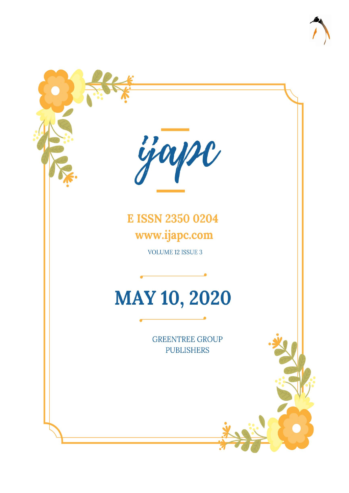

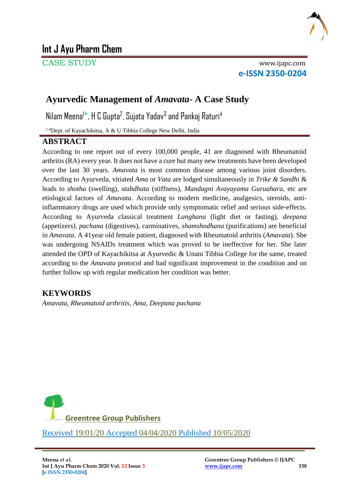

# **Int J Ayu Pharm Chem**

CASE STUDY www.ijapc.com

**e-ISSN 2350-0204**

## **Ayurvedic Management of** *Amavata***- A Case Study**

Nilam Meena<sup>1\*</sup>, H C Gupta<sup>2</sup>, Sujata Yadav<sup>3</sup> and Pankaj Raturi<sup>4</sup>

1-4Dept. of Kayachikitsa, A & U Tibbia College New Delhi, India

### **ABSTRACT**

According to one report out of every 100,000 people, 41 are diagnosed with Rheumatoid arthritis (RA) every year. It does not have a cure but many new treatments have been developed over the last 30 years. *Amavata* is most common disease among various joint disorders. According to Ayurveda, vitiated *Ama* or *Vata* are lodged simultaneously in *Trike & Sandhi* & leads to *shotha* (swelling), *stabdhata* (stiffness), *Mandagni Avayayama Guruahara,* etc are etiological factors of *Amavata*. According to modern medicine, analgesics, steroids, antiinflammatory drugs are used which provide only symptomatic relief and serious side-effects. According to Ayurveda classical treatment *Langhana* (light diet or fasting), *deepana* (appetizers*), pachana* (digestives), carminatives, *shamshodhana* (purifications) are beneficial in *Amavata*. A 41year old female patient, diagnosed with Rheumatoid arthritis (*Amavata*). She was undergoing NSAIDs treatment which was proved to be ineffective for her. She later attended the OPD of Kayachikitsa at Ayurvedic & Unani Tibbia College for the same, treated according to the *Amavata* protocol and had significant improvement in the condition and on further follow up with regular medication her condition was better.

## **KEYWORDS**

*Amavata*, *Rheumatoid arthritis*, *Ama, Deepana pachana*



\_\_\_\_\_\_\_\_\_\_\_\_\_\_\_\_\_\_\_\_\_\_\_\_\_\_\_\_\_\_\_\_\_\_\_\_\_\_\_\_\_\_\_\_\_\_\_\_\_\_\_\_\_\_\_\_\_\_\_\_\_\_\_\_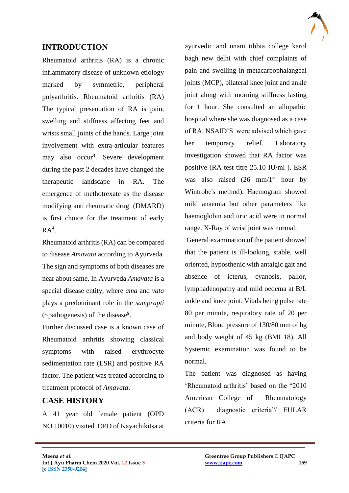

## **INTRODUCTION**

Rheumatoid arthritis (RA) is a chronic inflammatory disease of unknown etiology marked by symmetric, peripheral polyarthritis. Rheumatoid arthritis (RA) The typical presentation of RA is pain, swelling and stiffness affecting feet and wrists small joints of the hands. Large joint involvement with extra-articular features may also occur**<sup>3</sup>** . Severe development during the past 2 decades have changed the therapeutic landscape in RA. The emergence of methotrexate as the disease modifying anti rheumatic drug (DMARD) is first choice for the treatment of early  $RA<sup>4</sup>$ .

Rheumatoid arthritis (RA) can be compared to disease *Amavata* according to Ayurveda. The sign and symptoms of both diseases are near about same. In Ayurveda *Amavata* is a special disease entity, where *ama* and *vata*  plays a predominant role in the *samprapti*  (~pathogenesis) of the disease **5** .

Further discussed case is a known case of Rheumatoid arthritis showing classical symptoms with raised erythrocyte sedimentation rate (ESR) and positive RA factor. The patient was treated according to treatment protocol of *Amavata*.

## **CASE HISTORY**

A 41 year old female patient (OPD NO.10010) visited OPD of Kayachikitsa at

 $\mathcal{L}_\mathcal{L}$  , and the contribution of the contribution of the contribution of the contribution of the contribution of the contribution of the contribution of the contribution of the contribution of the contribution of

ayurvedic and unani tibbia college karol bagh new delhi with chief complaints of pain and swelling in metacarpophalangeal joints (MCP), bilateral knee joint and ankle joint along with morning stiffness lasting for 1 hour. She consulted an allopathic hospital where she was diagnosed as a case of RA. NSAID'S were advised which gave her temporary relief. Laboratory investigation showed that RA factor was positive (RA test titre 25.10 IU/ml ). ESR was also raised  $(26 \text{ mm}/1^{\text{st}})$  hour by Wintrobe's method). Haemogram showed mild anaemia but other parameters like haemoglobin and uric acid were in normal range. X-Ray of wrist joint was normal.

General examination of the patient showed that the patient is ill-looking, stable, well oriented, hyposthenic with antalgic gait and absence of icterus, cyanosis, pallor, lymphadenopathy and mild oedema at B/L ankle and knee joint. Vitals being pulse rate 80 per minute, respiratory rate of 20 per minute, Blood pressure of 130/80 mm of hg and body weight of 45 kg (BMI 18). All Systemic examination was found to be normal.

The patient was diagnosed as having 'Rheumatoid arthritis' based on the "2010 American College of Rheumatology (ACR) diagnostic criteria"/ EULAR criteria for RA.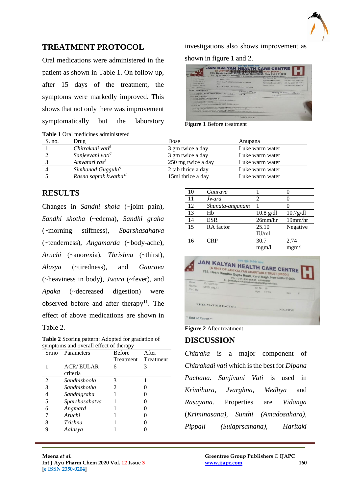

### **TREATMENT PROTOCOL**

Oral medications were administered in the patient as shown in Table 1. On follow up, after 15 days of the treatment, the symptoms were markedly improved. This shows that not only there was improvement symptomatically but the laboratory

**Table 1** Oral medicines administered

investigations also shows improvement as shown in figure 1 and 2.

| ArresGender<br>Collected AT<br>Referred BY<br>Sample TYPE<br><b>Ref Customer</b>                                      | Alre-ANJL<br>41 Yes Venude<br>JAN KALYAN CHARITABLE TRUST<br>1 <sub>N</sub><br>1 DTA Blood - 4075685, Serum - 4075684                                                                                                                                                                                                                                                                                                                                                                                                                       |                                | <b>TEST RECEIVED</b><br>Report DATE | Specimen Drawn ON<br>Specimen Received ON | 07671906300014<br>: 30-Jun-2019 01:09PM<br>30-Jun-2019 03:16PM<br>30-Jun-2019 05:00PM |
|-----------------------------------------------------------------------------------------------------------------------|---------------------------------------------------------------------------------------------------------------------------------------------------------------------------------------------------------------------------------------------------------------------------------------------------------------------------------------------------------------------------------------------------------------------------------------------------------------------------------------------------------------------------------------------|--------------------------------|-------------------------------------|-------------------------------------------|---------------------------------------------------------------------------------------|
| <b>Test Description</b><br><b>INTERNATIONAL PROGRAMMENT</b>                                                           | <b>Engimateid Factor (RA Factor) - Quantitative</b>                                                                                                                                                                                                                                                                                                                                                                                                                                                                                         | <b>Observed Value</b><br>25.10 |                                     | $\times$ 1-4 H J/rml                      | <b>Biological Reference Range</b>                                                     |
| <b>THE FRIGHT BEST PATTON</b><br><b>VIVANTAGES OF QUANTITATION</b><br>Accounte staging of disease.<br><b>H-ALARES</b> | I am a concentrations of RA Factor Grobrate the following<br>preserve prognosis and indication of complications.<br>Admirtiment of done for treatment and follow up of treatment.<br>and factor has been demonstrated in approximately 80 % of patients with riscunatoid arthritis.<br>also positive results may occur in hepatitis, sarcoidosis, cirrhosis of liver<br>be utten's syndrome, seate hacterial and vinil infection.<br>This interest of chesimatord arthritis should be made in conjuction with complete clinical evaluation. |                                |                                     |                                           |                                                                                       |

**Figure 1** Before treatment

| $S$ . no. | Drug                              | Dose               | Anupana         |
|-----------|-----------------------------------|--------------------|-----------------|
|           | Chitrakadi vati <sup>6</sup>      | 3 gm twice a day   | Luke warm water |
|           | Sanjeevani vati <sup>7</sup>      | 3 gm twice a day   | Luke warm water |
|           | Amvatari ras <sup>8</sup>         | 250 mg twice a day | Luke warm water |
|           | Simhanad Guggulu <sup>9</sup>     | 2 tab thrice a day | Luke warm water |
|           | Rasna saptak kwatha <sup>10</sup> | 15ml thrice a day  | Luke warm water |

#### **RESULTS**

Changes in *Sandhi shola* (~joint pain)*, Sandhi shotha* (~edema)*, Sandhi graha*  (~morning stiffness), *Sparshasahatva*  (~tenderness), *Angamarda* (~body-ache)*, Aruchi* (~anorexia), *Thrishna* (~thirst), *Alasya* (~tiredness), and *Gaurava*  (~heaviness in body), *Jwara* (~fever)*,* and *Apaka* (~decreased digestion) were observed before and after therapy**<sup>11</sup>**. The effect of above medications are shown in Table 2.

**Table 2** Scoring pattern: Adopted for gradation of symptoms and overall effect of therapy

| Sr.no          | Parameters       | <b>Before</b> | After     |
|----------------|------------------|---------------|-----------|
|                |                  | Treatment     | Treatment |
|                | <b>ACR/EULAR</b> | 6             |           |
|                | criteria         |               |           |
| 2              | Sandhishoola     | 3             |           |
|                | Sandhishotha     | 2             |           |
| $\frac{4}{5}$  | Sandhigraha      |               |           |
|                | Sparshasahatva   |               |           |
| $\overline{6}$ | Angmard          |               |           |
| $\overline{7}$ | Aruchi           |               |           |
| 8              | Trishna          |               |           |
| 9              | Aalasya          |               |           |
|                |                  |               |           |

| 10 | Gaurava         |             |            |
|----|-----------------|-------------|------------|
| 11 | Jwara           | 2           |            |
| 12 | Shunata-anganam |             |            |
| 13 | Hb              | $10.8$ g/dl | 10.7g/dl   |
| 14 | <b>ESR</b>      | 26mm/hr     | $19$ mm/hr |
| 15 | RA factor       | 25.10       | Negative   |
|    |                 | IU/ml       |            |
| 16 | <b>CRP</b>      | 30.7        | 2.74       |
|    |                 | mgm/l       | mgm/l      |



**Figure 2** After treatment

### **DISCUSSION**

 $\mathcal{L}_\mathcal{L}$  , and the contribution of the contribution of the contribution of the contribution of the contribution of the contribution of the contribution of the contribution of the contribution of the contribution of

*Chitraka* is a major component of *Chitrakadi vati* which is the best for *Dipana Pachana. Sanjivani Vati* is used in *Krimihara, Jvarghna, Medhya* and *Rasayana*. Properties are *Vidanga*  (*Kriminasana), Sunthi (Amadosahara), Pippali (Sulaprsamana), Haritaki*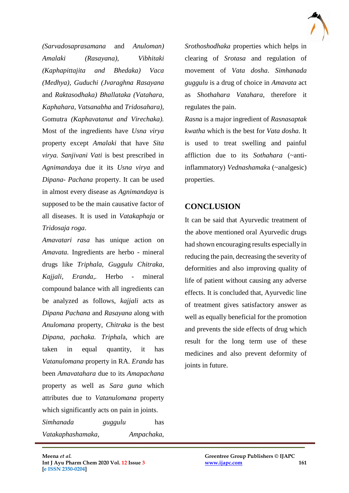

*(Sarvadosaprasamana* and *Anuloman) Amalaki (Rasayana), Vibhitaki (Kaphapittajita and Bhedaka) Vaca (Medhya), Guduchi (Jvaraghna Rasayana*  and *Raktasodhaka) Bhallataka (Vatahara, Kaphahara, Vatsanabha* and *Tridosahara),*  Gomutra *(Kaphavatanut and Virechaka).* Most of the ingredients have *Usna virya* property except *Amalaki* that have *Sita virya. Sanjivani Vati* is best prescribed in *Agnimanda*ya due it its *Usna virya* and *Dipana- Pachana* property. It can be used in almost every disease as *Agnimandaya* is supposed to be the main causative factor of all diseases. It is used in *Vatakaphaja* or *Tridosaja roga*.

*Amavatari rasa* has unique action on *Amavata.* Ingredients are herbo - mineral drugs like *Triphala, Guggulu Chitraka, Kajjali, Eranda,.* Herbo - mineral compound balance with all ingredients can be analyzed as follows, *kajjali* acts as *Dipana Pachana* and *Rasayana* along with *Anulomana* property, *Chitraka* is the best *Dipana*, *pachaka. Triphal*a, which are taken in equal quantity, it has *Vatanulomana* property in RA. *Eranda* has been *Amavatahara* due to its *Amapachana*  property as well as *Sara guna* which attributes due to *Vatanulomana* property which significantly acts on pain in joints.

*Simhanada guggulu* has *Vatakaphashamaka, Ampachaka,* 

 $\mathcal{L}_\mathcal{L}$  , and the contribution of the contribution of the contribution of the contribution of the contribution of the contribution of the contribution of the contribution of the contribution of the contribution of

*Srothoshodhaka* properties which helps in clearing of *Srotasa* and regulation of movement of *Vata dosha*. *Simhanada guggulu* is a drug of choice in *Amavata* act as *Shothahara Vatahara*, therefore it regulates the pain.

*Rasna* is a major ingredient of *Rasnasaptak kwatha* which is the best for *Vata dosha*. It is used to treat swelling and painful affliction due to its *Sothahara* (~antiinflammatory) *Vednashamak*a (~analgesic) properties.

## **CONCLUSION**

It can be said that Ayurvedic treatment of the above mentioned oral Ayurvedic drugs had shown encouraging results especially in reducing the pain, decreasing the severity of deformities and also improving quality of life of patient without causing any adverse effects. It is concluded that, Ayurvedic line of treatment gives satisfactory answer as well as equally beneficial for the promotion and prevents the side effects of drug which result for the long term use of these medicines and also prevent deformity of joints in future.